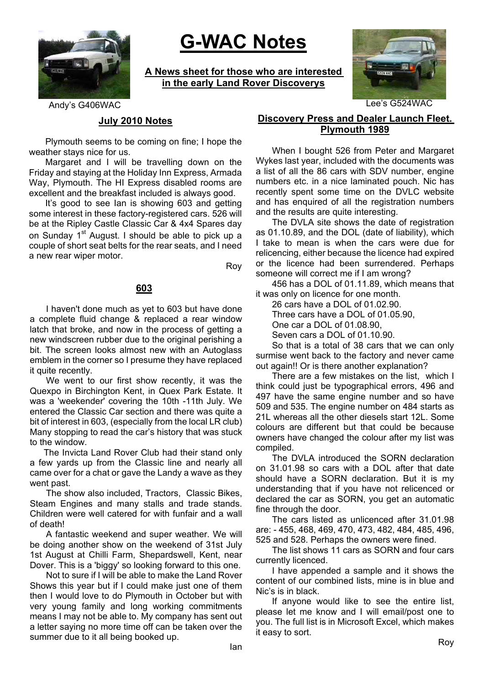

# **G-WAC Notes**

**A News sheet for those who are interested in the early Land Rover Discoverys**



#### **July 2010 Notes**

Plymouth seems to be coming on fine; I hope the weather stays nice for us.

Margaret and I will be travelling down on the Friday and staying at the Holiday Inn Express, Armada Way, Plymouth. The HI Express disabled rooms are excellent and the breakfast included is always good.

It's good to see Ian is showing 603 and getting some interest in these factory-registered cars. 526 will be at the Ripley Castle Classic Car & 4x4 Spares day on Sunday 1<sup>st</sup> August. I should be able to pick up a couple of short seat belts for the rear seats, and I need a new rear wiper motor.

Roy

## **603**

I haven't done much as yet to 603 but have done a complete fluid change & replaced a rear window latch that broke, and now in the process of getting a new windscreen rubber due to the original perishing a bit. The screen looks almost new with an Autoglass emblem in the corner so I presume they have replaced it quite recently.

We went to our first show recently, it was the Quexpo in Birchington Kent, in Quex Park Estate. It was a 'weekender' covering the 10th -11th July. We entered the Classic Car section and there was quite a bit of interest in 603, (especially from the local LR club) Many stopping to read the car's history that was stuck to the window.

The Invicta Land Rover Club had their stand only a few yards up from the Classic line and nearly all came over for a chat or gave the Landy a wave as they went past.

The show also included, Tractors, Classic Bikes, Steam Engines and many stalls and trade stands. Children were well catered for with funfair and a wall of death!

A fantastic weekend and super weather. We will be doing another show on the weekend of 31st July 1st August at Chilli Farm, Shepardswell, Kent, near Dover. This is a 'biggy' so looking forward to this one.

Not to sure if I will be able to make the Land Rover Shows this year but if I could make just one of them then I would love to do Plymouth in October but with very young family and long working commitments means I may not be able to. My company has sent out a letter saying no more time off can be taken over the summer due to it all being booked up.

# **Discovery Press and Dealer Launch Fleet. Plymouth 1989**

When I bought 526 from Peter and Margaret Wykes last year, included with the documents was a list of all the 86 cars with SDV number, engine numbers etc. in a nice laminated pouch. Nic has recently spent some time on the DVLC website and has enquired of all the registration numbers and the results are quite interesting.

The DVLA site shows the date of registration as 01.10.89, and the DOL (date of liability), which I take to mean is when the cars were due for relicencing, either because the licence had expired or the licence had been surrendered. Perhaps someone will correct me if I am wrong?

456 has a DOL of 01.11.89, which means that it was only on licence for one month.

26 cars have a DOL of 01.02.90.

Three cars have a DOL of 01.05.90,

One car a DOL of 01.08.90,

Seven cars a DOL of 01.10.90.

So that is a total of 38 cars that we can only surmise went back to the factory and never came out again!! Or is there another explanation?

There are a few mistakes on the list, which I think could just be typographical errors, 496 and 497 have the same engine number and so have 509 and 535. The engine number on 484 starts as 21L whereas all the other diesels start 12L. Some colours are different but that could be because owners have changed the colour after my list was compiled.

The DVLA introduced the SORN declaration on 31.01.98 so cars with a DOL after that date should have a SORN declaration. But it is my understanding that if you have not relicenced or declared the car as SORN, you get an automatic fine through the door.

The cars listed as unlicenced after 31.01.98 are: - 455, 468, 469, 470, 473, 482, 484, 485, 496, 525 and 528. Perhaps the owners were fined.

The list shows 11 cars as SORN and four cars currently licenced.

I have appended a sample and it shows the content of our combined lists, mine is in blue and Nic's is in black.

If anyone would like to see the entire list, please let me know and I will email/post one to you. The full list is in Microsoft Excel, which makes it easy to sort.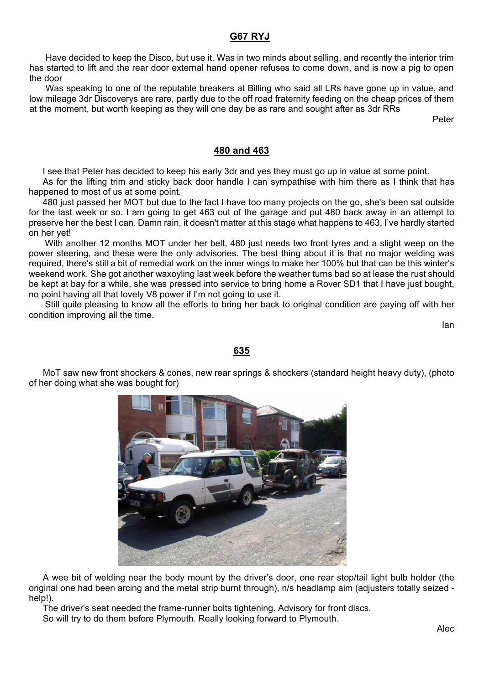#### **G67 RYJ**

Have decided to keep the Disco, but use it. Was in two minds about selling, and recently the interior trim has started to lift and the rear door external hand opener refuses to come down, and is now a pig to open the door

Was speaking to one of the reputable breakers at Billing who said all LRs have gone up in value, and low mileage 3dr Discoverys are rare, partly due to the off road fraternity feeding on the cheap prices of them at the moment, but worth keeping as they will one day be as rare and sought after as 3dr RRs

Peter

#### **480 and 463**

I see that Peter has decided to keep his early 3dr and yes they must go up in value at some point.

As for the lifting trim and sticky back door handle I can sympathise with him there as I think that has happened to most of us at some point.

480 just passed her MOT but due to the fact I have too many projects on the go, she's been sat outside for the last week or so. I am going to get 463 out of the garage and put 480 back away in an attempt to preserve her the best I can. Damn rain, it doesn't matter at this stage what happens to 463, I've hardly started on her yet!

With another 12 months MOT under her belt, 480 just needs two front tyres and a slight weep on the power steering, and these were the only advisories. The best thing about it is that no major welding was required, there's still a bit of remedial work on the inner wings to make her 100% but that can be this winter's weekend work. She got another waxoyling last week before the weather turns bad so at lease the rust should be kept at bay for a while, she was pressed into service to bring home a Rover SD1 that I have just bought, no point having all that lovely V8 power if I'm not going to use it.

Still quite pleasing to know all the efforts to bring her back to original condition are paying off with her condition improving all the time.

Ian

#### **635**

MoT saw new front shockers & cones, new rear springs & shockers (standard height heavy duty), (photo of her doing what she was bought for)



A wee bit of welding near the body mount by the driver's door, one rear stop/tail light bulb holder (the original one had been arcing and the metal strip burnt through), n/s headlamp aim (adjusters totally seized help!).

The driver's seat needed the frame-runner bolts tightening. Advisory for front discs.

So will try to do them before Plymouth. Really looking forward to Plymouth.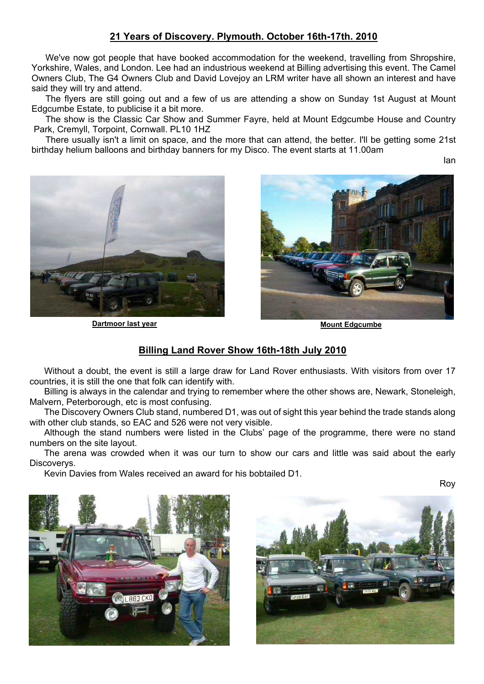## **21 Years of Discovery. Plymouth. October 16th-17th. 2010**

We've now got people that have booked accommodation for the weekend, travelling from Shropshire, Yorkshire, Wales, and London. Lee had an industrious weekend at Billing advertising this event. The Camel Owners Club, The G4 Owners Club and David Lovejoy an LRM writer have all shown an interest and have said they will try and attend.

The flyers are still going out and a few of us are attending a show on Sunday 1st August at Mount Edgcumbe Estate, to publicise it a bit more.

The show is the Classic Car Show and Summer Fayre, held at Mount Edgcumbe House and Country Park, Cremyll, Torpoint, Cornwall. PL10 1HZ

There usually isn't a limit on space, and the more that can attend, the better. I'll be getting some 21st birthday helium balloons and birthday banners for my Disco. The event starts at 11.00am

Ian



**Dartmoor last year Mount Edgcumbe** 



## **Billing Land Rover Show 16th-18th July 2010**

Without a doubt, the event is still a large draw for Land Rover enthusiasts. With visitors from over 17 countries, it is still the one that folk can identify with.

Billing is always in the calendar and trying to remember where the other shows are, Newark, Stoneleigh, Malvern, Peterborough, etc is most confusing.

The Discovery Owners Club stand, numbered D1, was out of sight this year behind the trade stands along with other club stands, so EAC and 526 were not very visible.

Although the stand numbers were listed in the Clubs' page of the programme, there were no stand numbers on the site layout.

The arena was crowded when it was our turn to show our cars and little was said about the early Discoverys.

Kevin Davies from Wales received an award for his bobtailed D1.

Roy